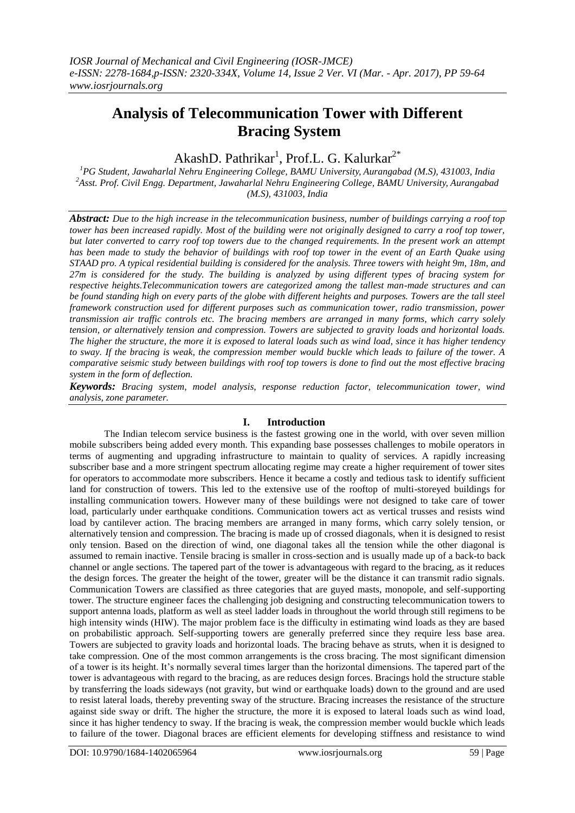# **Analysis of Telecommunication Tower with Different Bracing System**

## AkashD. Pathrikar<sup>1</sup>, Prof.L. G. Kalurkar<sup>2\*</sup>

*<sup>1</sup>PG Student, Jawaharlal Nehru Engineering College, BAMU University, Aurangabad (M.S), 431003, India <sup>2</sup>Asst. Prof. Civil Engg. Department, Jawaharlal Nehru Engineering College, BAMU University, Aurangabad (M.S), 431003, India*

*Abstract: Due to the high increase in the telecommunication business, number of buildings carrying a roof top tower has been increased rapidly. Most of the building were not originally designed to carry a roof top tower, but later converted to carry roof top towers due to the changed requirements. In the present work an attempt has been made to study the behavior of buildings with roof top tower in the event of an Earth Quake using STAAD pro. A typical residential building is considered for the analysis. Three towers with height 9m, 18m, and 27m is considered for the study. The building is analyzed by using different types of bracing system for respective heights.Telecommunication towers are categorized among the tallest man-made structures and can be found standing high on every parts of the globe with different heights and purposes. Towers are the tall steel framework construction used for different purposes such as communication tower, radio transmission, power transmission air traffic controls etc. The bracing members are arranged in many forms, which carry solely tension, or alternatively tension and compression. Towers are subjected to gravity loads and horizontal loads. The higher the structure, the more it is exposed to lateral loads such as wind load, since it has higher tendency to sway. If the bracing is weak, the compression member would buckle which leads to failure of the tower. A comparative seismic study between buildings with roof top towers is done to find out the most effective bracing system in the form of deflection.*

*Keywords: Bracing system, model analysis, response reduction factor, telecommunication tower, wind analysis, zone parameter.*

## **I. Introduction**

The Indian telecom service business is the fastest growing one in the world, with over seven million mobile subscribers being added every month. This expanding base possesses challenges to mobile operators in terms of augmenting and upgrading infrastructure to maintain to quality of services. A rapidly increasing subscriber base and a more stringent spectrum allocating regime may create a higher requirement of tower sites for operators to accommodate more subscribers. Hence it became a costly and tedious task to identify sufficient land for construction of towers. This led to the extensive use of the rooftop of multi-storeyed buildings for installing communication towers. However many of these buildings were not designed to take care of tower load, particularly under earthquake conditions. Communication towers act as vertical trusses and resists wind load by cantilever action. The bracing members are arranged in many forms, which carry solely tension, or alternatively tension and compression. The bracing is made up of crossed diagonals, when it is designed to resist only tension. Based on the direction of wind, one diagonal takes all the tension while the other diagonal is assumed to remain inactive. Tensile bracing is smaller in cross-section and is usually made up of a back-to back channel or angle sections. The tapered part of the tower is advantageous with regard to the bracing, as it reduces the design forces. The greater the height of the tower, greater will be the distance it can transmit radio signals. Communication Towers are classified as three categories that are guyed masts, monopole, and self-supporting tower. The structure engineer faces the challenging job designing and constructing telecommunication towers to support antenna loads, platform as well as steel ladder loads in throughout the world through still regimens to be high intensity winds (HIW). The major problem face is the difficulty in estimating wind loads as they are based on probabilistic approach. Self-supporting towers are generally preferred since they require less base area. Towers are subjected to gravity loads and horizontal loads. The bracing behave as struts, when it is designed to take compression. One of the most common arrangements is the cross bracing. The most significant dimension of a tower is its height. It's normally several times larger than the horizontal dimensions. The tapered part of the tower is advantageous with regard to the bracing, as are reduces design forces. Bracings hold the structure stable by transferring the loads sideways (not gravity, but wind or earthquake loads) down to the ground and are used to resist lateral loads, thereby preventing sway of the structure. Bracing increases the resistance of the structure against side sway or drift. The higher the structure, the more it is exposed to lateral loads such as wind load, since it has higher tendency to sway. If the bracing is weak, the compression member would buckle which leads to failure of the tower. Diagonal braces are efficient elements for developing stiffness and resistance to wind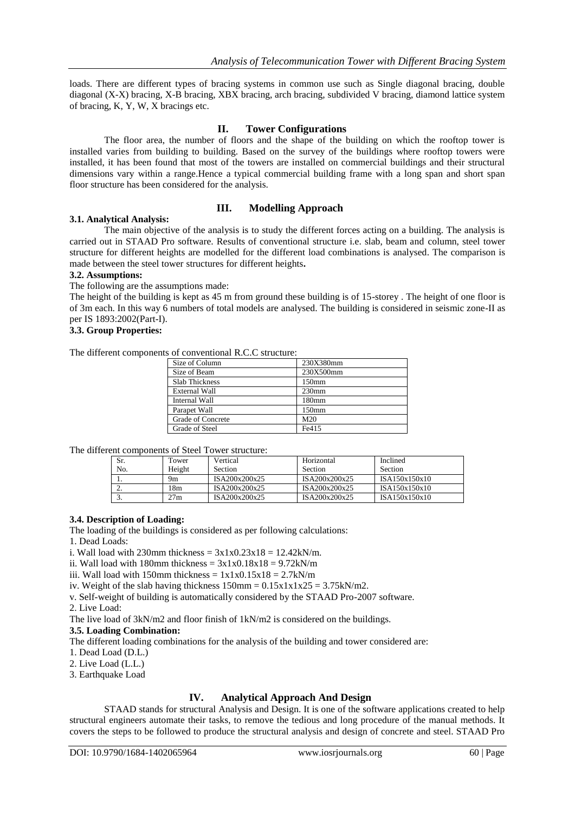loads. There are different types of bracing systems in common use such as Single diagonal bracing, double diagonal (X-X) bracing, X-B bracing, XBX bracing, arch bracing, subdivided V bracing, diamond lattice system of bracing, K, Y, W, X bracings etc.

## **II. Tower Configurations**

The floor area, the number of floors and the shape of the building on which the rooftop tower is installed varies from building to building. Based on the survey of the buildings where rooftop towers were installed, it has been found that most of the towers are installed on commercial buildings and their structural dimensions vary within a range.Hence a typical commercial building frame with a long span and short span floor structure has been considered for the analysis.

## **III. Modelling Approach**

#### **3.1. Analytical Analysis:**

The main objective of the analysis is to study the different forces acting on a building. The analysis is carried out in STAAD Pro software. Results of conventional structure i.e. slab, beam and column, steel tower structure for different heights are modelled for the different load combinations is analysed. The comparison is made between the steel tower structures for different heights**.**

#### **3.2. Assumptions:**

The following are the assumptions made:

The height of the building is kept as 45 m from ground these building is of 15-storey . The height of one floor is of 3m each. In this way 6 numbers of total models are analysed. The building is considered in seismic zone-II as per IS 1893:2002(Part-I).

#### **3.3. Group Properties:**

The different components of conventional R.C.C structure:

| Size of Column        | 230X380mm         |
|-----------------------|-------------------|
| Size of Beam          | 230X500mm         |
| <b>Slab Thickness</b> | 150 <sub>mm</sub> |
| <b>External Wall</b>  | 230 <sub>mm</sub> |
| Internal Wall         | 180 <sub>mm</sub> |
| Parapet Wall          | 150 <sub>mm</sub> |
| Grade of Concrete     | M <sub>20</sub>   |
| Grade of Steel        | Fe415             |

The different components of Steel Tower structure:

| Sr.              | Tower  | Vertical       | Horizontal     | Inclined      |
|------------------|--------|----------------|----------------|---------------|
| No.              | Height | <b>Section</b> | <b>Section</b> | Section       |
| . .              | 9m     | ISA200x200x25  | ISA200x200x25  | ISA150x150x10 |
| <u>.</u>         | l 8m   | ISA200x200x25  | ISA200x200x25  | ISA150x150x10 |
| $\sqrt{2}$<br>J. | 27m    | ISA200x200x25  | ISA200x200x25  | ISA150x150x10 |

#### **3.4. Description of Loading:**

The loading of the buildings is considered as per following calculations:

1. Dead Loads:

i. Wall load with 230mm thickness =  $3x1x0.23x18 = 12.42kN/m$ .

ii. Wall load with 180mm thickness =  $3x1x0.18x18 = 9.72kN/m$ 

iii. Wall load with 150mm thickness =  $1x1x0.15x18 = 2.7kN/m$ 

iv. Weight of the slab having thickness  $150 \text{mm} = 0.15 \text{x} 1 \text{x} 1 \text{x} 25 = 3.75 \text{kN/m2}$ .

v. Self-weight of building is automatically considered by the STAAD Pro-2007 software.

2. Live Load:

The live load of 3kN/m2 and floor finish of 1kN/m2 is considered on the buildings.

#### **3.5. Loading Combination:**

The different loading combinations for the analysis of the building and tower considered are:

1. Dead Load (D.L.)

2. Live Load (L.L.)

3. Earthquake Load

## **IV. Analytical Approach And Design**

STAAD stands for structural Analysis and Design. It is one of the software applications created to help structural engineers automate their tasks, to remove the tedious and long procedure of the manual methods. It covers the steps to be followed to produce the structural analysis and design of concrete and steel. STAAD Pro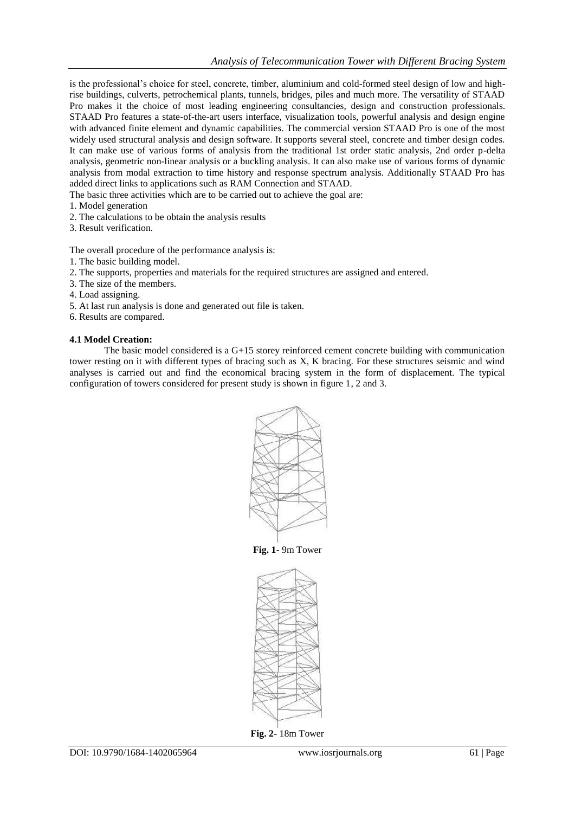is the professional's choice for steel, concrete, timber, aluminium and cold-formed steel design of low and highrise buildings, culverts, petrochemical plants, tunnels, bridges, piles and much more. The versatility of STAAD Pro makes it the choice of most leading engineering consultancies, design and construction professionals. STAAD Pro features a state-of-the-art users interface, visualization tools, powerful analysis and design engine with advanced finite element and dynamic capabilities. The commercial version STAAD Pro is one of the most widely used structural analysis and design software. It supports several steel, concrete and timber design codes. It can make use of various forms of analysis from the traditional 1st order static analysis, 2nd order p-delta analysis, geometric non-linear analysis or a buckling analysis. It can also make use of various forms of dynamic analysis from modal extraction to time history and response spectrum analysis. Additionally STAAD Pro has added direct links to applications such as RAM Connection and STAAD.

The basic three activities which are to be carried out to achieve the goal are:

- 1. Model generation
- 2. The calculations to be obtain the analysis results
- 3. Result verification.

The overall procedure of the performance analysis is:

- 1. The basic building model.
- 2. The supports, properties and materials for the required structures are assigned and entered.
- 3. The size of the members.
- 4. Load assigning.
- 5. At last run analysis is done and generated out file is taken.
- 6. Results are compared.

#### **4.1 Model Creation:**

The basic model considered is a G+15 storey reinforced cement concrete building with communication tower resting on it with different types of bracing such as X, K bracing. For these structures seismic and wind analyses is carried out and find the economical bracing system in the form of displacement. The typical configuration of towers considered for present study is shown in figure 1, 2 and 3.



**Fig. 1**- 9m Tower



**Fig. 2-** 18m Tower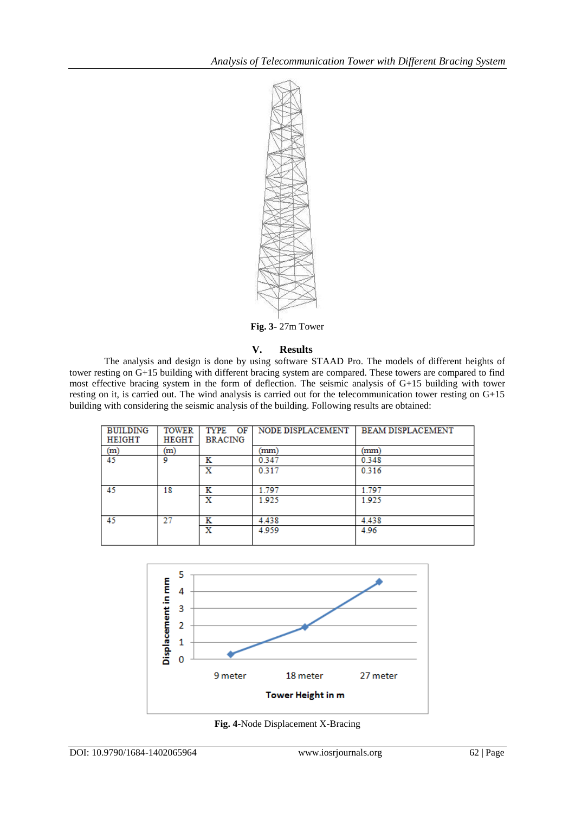

**Fig. 3-** 27m Tower

## **V. Results**

The analysis and design is done by using software STAAD Pro. The models of different heights of tower resting on G+15 building with different bracing system are compared. These towers are compared to find most effective bracing system in the form of deflection. The seismic analysis of G+15 building with tower resting on it, is carried out. The wind analysis is carried out for the telecommunication tower resting on G+15 building with considering the seismic analysis of the building. Following results are obtained:

| <b>BUILDING</b><br>HEIGHT | <b>TOWER</b><br><b>HEGHT</b> | <b>TYPE</b><br>OF<br><b>BRACING</b> | NODE DISPLACEMENT | <b>BEAM DISPLACEMENT</b> |
|---------------------------|------------------------------|-------------------------------------|-------------------|--------------------------|
| (m)                       | (m)                          |                                     | (mm)              | mm                       |
| 45                        | ٥                            | ĸ                                   | 0.347             | 0.348                    |
|                           |                              | x                                   | 0.317             | 0.316                    |
| 45                        | 18                           | ĸ                                   | 1.797             | 1.797                    |
|                           |                              | x                                   | 1.925             | 1.925                    |
| 45                        | 27                           | ĸ                                   | 4.438             | 4.438                    |
|                           |                              | x                                   | 4.959             | 4.96                     |



**Fig. 4-**Node Displacement X-Bracing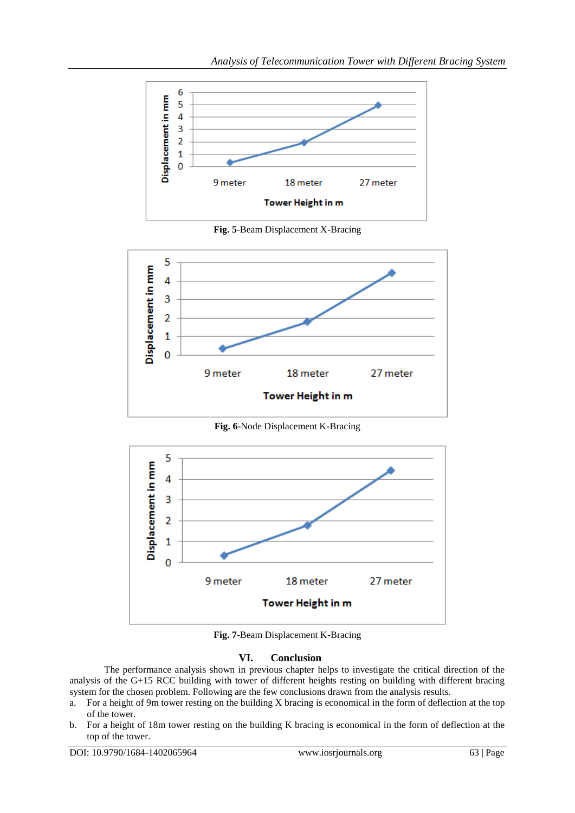

**Fig. 5**-Beam Displacement X-Bracing



**Fig. 6**-Node Displacement K-Bracing



**Fig. 7-**Beam Displacement K-Bracing

## **VI. Conclusion**

The performance analysis shown in previous chapter helps to investigate the critical direction of the analysis of the G+15 RCC building with tower of different heights resting on building with different bracing system for the chosen problem. Following are the few conclusions drawn from the analysis results.

- a. For a height of 9 $\overline{m}$  tower resting on the building X bracing is economical in the form of deflection at the top of the tower.
- b. For a height of 18m tower resting on the building K bracing is economical in the form of deflection at the top of the tower.